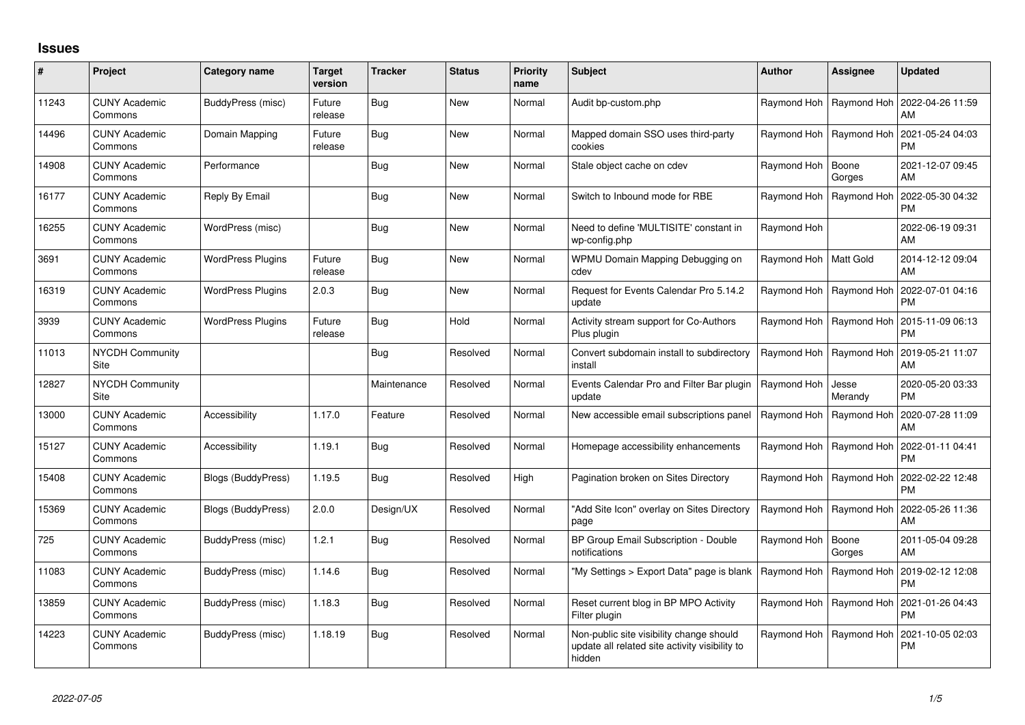## **Issues**

| #     | Project                         | Category name             | <b>Target</b><br>version | <b>Tracker</b> | <b>Status</b> | <b>Priority</b><br>name | <b>Subject</b>                                                                                       | Author                  | Assignee         | <b>Updated</b>                |
|-------|---------------------------------|---------------------------|--------------------------|----------------|---------------|-------------------------|------------------------------------------------------------------------------------------------------|-------------------------|------------------|-------------------------------|
| 11243 | <b>CUNY Academic</b><br>Commons | BuddyPress (misc)         | Future<br>release        | <b>Bug</b>     | <b>New</b>    | Normal                  | Audit bp-custom.php                                                                                  | Raymond Hoh             | Raymond Hoh      | 2022-04-26 11:59<br>AM        |
| 14496 | <b>CUNY Academic</b><br>Commons | Domain Mapping            | Future<br>release        | Bug            | <b>New</b>    | Normal                  | Mapped domain SSO uses third-party<br>cookies                                                        | Raymond Hoh             | Raymond Hoh      | 2021-05-24 04:03<br><b>PM</b> |
| 14908 | <b>CUNY Academic</b><br>Commons | Performance               |                          | <b>Bug</b>     | <b>New</b>    | Normal                  | Stale object cache on cdev                                                                           | Raymond Hoh             | Boone<br>Gorges  | 2021-12-07 09:45<br>AM        |
| 16177 | <b>CUNY Academic</b><br>Commons | Reply By Email            |                          | Bug            | <b>New</b>    | Normal                  | Switch to Inbound mode for RBE                                                                       | Raymond Hoh             | Raymond Hoh      | 2022-05-30 04:32<br><b>PM</b> |
| 16255 | <b>CUNY Academic</b><br>Commons | WordPress (misc)          |                          | <b>Bug</b>     | <b>New</b>    | Normal                  | Need to define 'MULTISITE' constant in<br>wp-config.php                                              | Raymond Hoh             |                  | 2022-06-19 09:31<br>AM        |
| 3691  | <b>CUNY Academic</b><br>Commons | <b>WordPress Plugins</b>  | Future<br>release        | Bug            | <b>New</b>    | Normal                  | WPMU Domain Mapping Debugging on<br>cdev                                                             | Raymond Hoh   Matt Gold |                  | 2014-12-12 09:04<br>AM        |
| 16319 | <b>CUNY Academic</b><br>Commons | <b>WordPress Plugins</b>  | 2.0.3                    | <b>Bug</b>     | <b>New</b>    | Normal                  | Request for Events Calendar Pro 5.14.2<br>update                                                     | Raymond Hoh             | Raymond Hoh      | 2022-07-01 04:16<br><b>PM</b> |
| 3939  | <b>CUNY Academic</b><br>Commons | <b>WordPress Plugins</b>  | Future<br>release        | <b>Bug</b>     | Hold          | Normal                  | Activity stream support for Co-Authors<br>Plus plugin                                                | Raymond Hoh             | Raymond Hoh      | 2015-11-09 06:13<br><b>PM</b> |
| 11013 | <b>NYCDH Community</b><br>Site  |                           |                          | <b>Bug</b>     | Resolved      | Normal                  | Convert subdomain install to subdirectory<br>install                                                 | Raymond Hoh             | Raymond Hoh      | 2019-05-21 11:07<br>AM        |
| 12827 | NYCDH Community<br>Site         |                           |                          | Maintenance    | Resolved      | Normal                  | Events Calendar Pro and Filter Bar plugin<br>update                                                  | Raymond Hoh             | Jesse<br>Merandy | 2020-05-20 03:33<br><b>PM</b> |
| 13000 | <b>CUNY Academic</b><br>Commons | Accessibility             | 1.17.0                   | Feature        | Resolved      | Normal                  | New accessible email subscriptions panel                                                             | Raymond Hoh             | Raymond Hoh      | 2020-07-28 11:09<br>AM        |
| 15127 | <b>CUNY Academic</b><br>Commons | Accessibility             | 1.19.1                   | <b>Bug</b>     | Resolved      | Normal                  | Homepage accessibility enhancements                                                                  | Raymond Hoh             | Raymond Hoh      | 2022-01-11 04:41<br><b>PM</b> |
| 15408 | <b>CUNY Academic</b><br>Commons | <b>Blogs (BuddyPress)</b> | 1.19.5                   | <b>Bug</b>     | Resolved      | High                    | Pagination broken on Sites Directory                                                                 | Raymond Hoh             | Raymond Hoh      | 2022-02-22 12:48<br><b>PM</b> |
| 15369 | <b>CUNY Academic</b><br>Commons | Blogs (BuddyPress)        | 2.0.0                    | Design/UX      | Resolved      | Normal                  | 'Add Site Icon" overlay on Sites Directory<br>page                                                   | Raymond Hoh             | Raymond Hoh      | 2022-05-26 11:36<br>AM        |
| 725   | <b>CUNY Academic</b><br>Commons | BuddyPress (misc)         | 1.2.1                    | <b>Bug</b>     | Resolved      | Normal                  | BP Group Email Subscription - Double<br>notifications                                                | Raymond Hoh             | Boone<br>Gorges  | 2011-05-04 09:28<br>AM        |
| 11083 | <b>CUNY Academic</b><br>Commons | BuddyPress (misc)         | 1.14.6                   | <b>Bug</b>     | Resolved      | Normal                  | 'My Settings > Export Data" page is blank                                                            | Raymond Hoh             | Raymond Hoh      | 2019-02-12 12:08<br><b>PM</b> |
| 13859 | <b>CUNY Academic</b><br>Commons | BuddyPress (misc)         | 1.18.3                   | <b>Bug</b>     | Resolved      | Normal                  | Reset current blog in BP MPO Activity<br>Filter plugin                                               | Raymond Hoh             | Raymond Hoh      | 2021-01-26 04:43<br><b>PM</b> |
| 14223 | <b>CUNY Academic</b><br>Commons | BuddyPress (misc)         | 1.18.19                  | Bug            | Resolved      | Normal                  | Non-public site visibility change should<br>update all related site activity visibility to<br>hidden | Raymond Hoh             | Raymond Hoh      | 2021-10-05 02:03<br><b>PM</b> |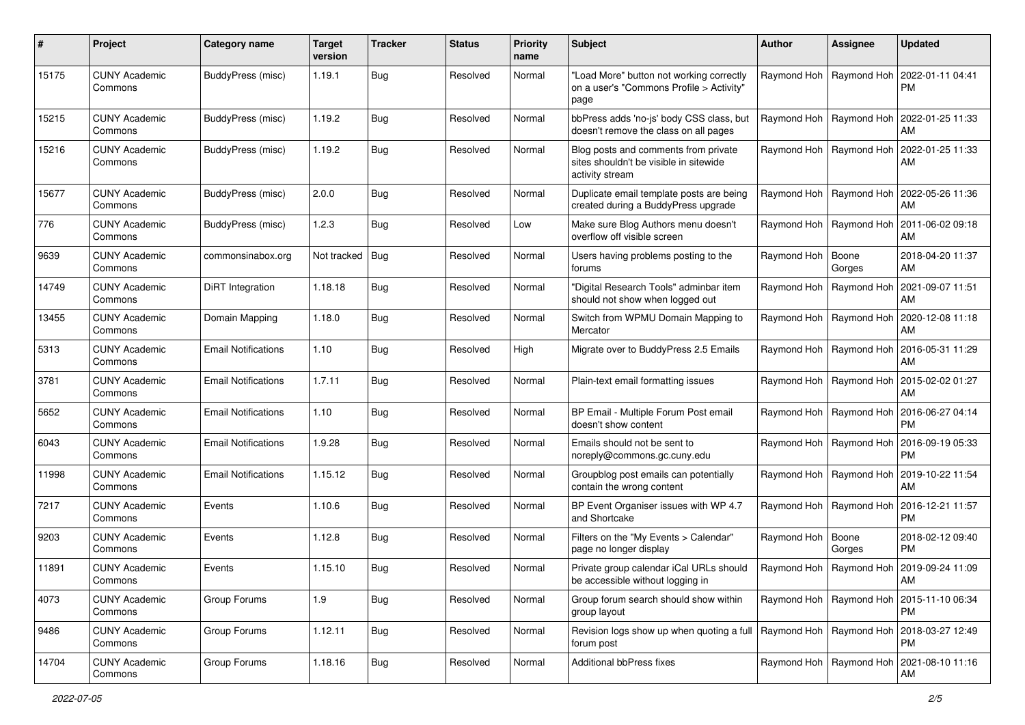| #     | Project                         | Category name              | <b>Target</b><br>version | <b>Tracker</b> | <b>Status</b> | <b>Priority</b><br>name | <b>Subject</b>                                                                                    | <b>Author</b>             | <b>Assignee</b>           | <b>Updated</b>                                     |
|-------|---------------------------------|----------------------------|--------------------------|----------------|---------------|-------------------------|---------------------------------------------------------------------------------------------------|---------------------------|---------------------------|----------------------------------------------------|
| 15175 | <b>CUNY Academic</b><br>Commons | <b>BuddyPress (misc)</b>   | 1.19.1                   | <b>Bug</b>     | Resolved      | Normal                  | "Load More" button not working correctly<br>on a user's "Commons Profile > Activity"<br>page      |                           | Raymond Hoh   Raymond Hoh | 2022-01-11 04:41<br><b>PM</b>                      |
| 15215 | <b>CUNY Academic</b><br>Commons | BuddyPress (misc)          | 1.19.2                   | Bug            | Resolved      | Normal                  | bbPress adds 'no-js' body CSS class, but<br>doesn't remove the class on all pages                 |                           | Raymond Hoh   Raymond Hoh | 2022-01-25 11:33<br>AM                             |
| 15216 | <b>CUNY Academic</b><br>Commons | BuddyPress (misc)          | 1.19.2                   | Bug            | Resolved      | Normal                  | Blog posts and comments from private<br>sites shouldn't be visible in sitewide<br>activity stream |                           | Raymond Hoh   Raymond Hoh | 2022-01-25 11:33<br>AM                             |
| 15677 | <b>CUNY Academic</b><br>Commons | BuddyPress (misc)          | 2.0.0                    | Bug            | Resolved      | Normal                  | Duplicate email template posts are being<br>created during a BuddyPress upgrade                   |                           |                           | Raymond Hoh   Raymond Hoh   2022-05-26 11:36<br>AM |
| 776   | <b>CUNY Academic</b><br>Commons | BuddyPress (misc)          | 1.2.3                    | Bug            | Resolved      | Low                     | Make sure Blog Authors menu doesn't<br>overflow off visible screen                                | Raymond Hoh               | Raymond Hoh               | 2011-06-02 09:18<br>AM                             |
| 9639  | <b>CUNY Academic</b><br>Commons | commonsinabox.org          | Not tracked Bug          |                | Resolved      | Normal                  | Users having problems posting to the<br>forums                                                    | Raymond Hoh               | Boone<br>Gorges           | 2018-04-20 11:37<br>AM                             |
| 14749 | <b>CUNY Academic</b><br>Commons | DiRT Integration           | 1.18.18                  | <b>Bug</b>     | Resolved      | Normal                  | "Digital Research Tools" adminbar item<br>should not show when logged out                         |                           | Raymond Hoh   Raymond Hoh | 2021-09-07 11:51<br>AM                             |
| 13455 | <b>CUNY Academic</b><br>Commons | Domain Mapping             | 1.18.0                   | Bug            | Resolved      | Normal                  | Switch from WPMU Domain Mapping to<br>Mercator                                                    |                           | Raymond Hoh   Raymond Hoh | 2020-12-08 11:18<br>AM                             |
| 5313  | <b>CUNY Academic</b><br>Commons | <b>Email Notifications</b> | 1.10                     | Bug            | Resolved      | High                    | Migrate over to BuddyPress 2.5 Emails                                                             |                           | Raymond Hoh   Raymond Hoh | 2016-05-31 11:29<br>AM                             |
| 3781  | <b>CUNY Academic</b><br>Commons | <b>Email Notifications</b> | 1.7.11                   | Bug            | Resolved      | Normal                  | Plain-text email formatting issues                                                                |                           | Raymond Hoh   Raymond Hoh | 2015-02-02 01:27<br>AM                             |
| 5652  | <b>CUNY Academic</b><br>Commons | <b>Email Notifications</b> | 1.10                     | Bug            | Resolved      | Normal                  | BP Email - Multiple Forum Post email<br>doesn't show content                                      |                           | Raymond Hoh   Raymond Hoh | 2016-06-27 04:14<br><b>PM</b>                      |
| 6043  | <b>CUNY Academic</b><br>Commons | <b>Email Notifications</b> | 1.9.28                   | Bug            | Resolved      | Normal                  | Emails should not be sent to<br>noreply@commons.gc.cuny.edu                                       |                           | Raymond Hoh   Raymond Hoh | 2016-09-19 05:33<br><b>PM</b>                      |
| 11998 | <b>CUNY Academic</b><br>Commons | <b>Email Notifications</b> | 1.15.12                  | Bug            | Resolved      | Normal                  | Groupblog post emails can potentially<br>contain the wrong content                                | Raymond Hoh   Raymond Hoh |                           | 2019-10-22 11:54<br>AM                             |
| 7217  | <b>CUNY Academic</b><br>Commons | Events                     | 1.10.6                   | Bug            | Resolved      | Normal                  | BP Event Organiser issues with WP 4.7<br>and Shortcake                                            |                           | Raymond Hoh   Raymond Hoh | 2016-12-21 11:57<br><b>PM</b>                      |
| 9203  | <b>CUNY Academic</b><br>Commons | Events                     | 1.12.8                   | Bug            | Resolved      | Normal                  | Filters on the "My Events > Calendar"<br>page no longer display                                   | Raymond Hoh   Boone       | Gorges                    | 2018-02-12 09:40<br><b>PM</b>                      |
| 11891 | <b>CUNY Academic</b><br>Commons | Events                     | 1.15.10                  | Bug            | Resolved      | Normal                  | Private group calendar iCal URLs should<br>be accessible without logging in                       |                           | Raymond Hoh   Raymond Hoh | 2019-09-24 11:09<br>AM                             |
| 4073  | <b>CUNY Academic</b><br>Commons | Group Forums               | 1.9                      | <b>Bug</b>     | Resolved      | Normal                  | Group forum search should show within<br>group layout                                             | Raymond Hoh   Raymond Hoh |                           | 2015-11-10 06:34<br><b>PM</b>                      |
| 9486  | <b>CUNY Academic</b><br>Commons | Group Forums               | 1.12.11                  | <b>Bug</b>     | Resolved      | Normal                  | Revision logs show up when quoting a full   Raymond Hoh   Raymond Hoh<br>forum post               |                           |                           | 2018-03-27 12:49<br><b>PM</b>                      |
| 14704 | <b>CUNY Academic</b><br>Commons | Group Forums               | 1.18.16                  | Bug            | Resolved      | Normal                  | Additional bbPress fixes                                                                          |                           | Raymond Hoh   Raymond Hoh | 2021-08-10 11:16<br>AM                             |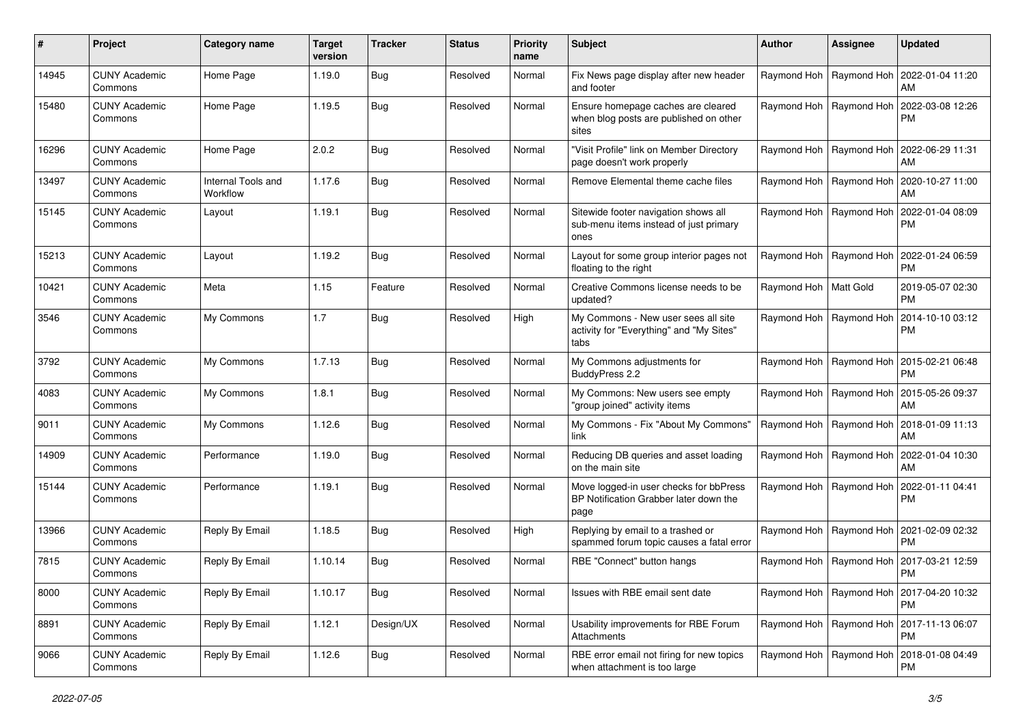| #     | Project                         | Category name                  | <b>Target</b><br>version | <b>Tracker</b> | <b>Status</b> | <b>Priority</b><br>name | Subject                                                                                  | <b>Author</b>           | Assignee                  | <b>Updated</b>                |
|-------|---------------------------------|--------------------------------|--------------------------|----------------|---------------|-------------------------|------------------------------------------------------------------------------------------|-------------------------|---------------------------|-------------------------------|
| 14945 | <b>CUNY Academic</b><br>Commons | Home Page                      | 1.19.0                   | <b>Bug</b>     | Resolved      | Normal                  | Fix News page display after new header<br>and footer                                     | Raymond Hoh             | Raymond Hoh               | 2022-01-04 11:20<br>AM        |
| 15480 | <b>CUNY Academic</b><br>Commons | Home Page                      | 1.19.5                   | Bug            | Resolved      | Normal                  | Ensure homepage caches are cleared<br>when blog posts are published on other<br>sites    |                         | Raymond Hoh   Raymond Hoh | 2022-03-08 12:26<br><b>PM</b> |
| 16296 | <b>CUNY Academic</b><br>Commons | Home Page                      | 2.0.2                    | Bug            | Resolved      | Normal                  | "Visit Profile" link on Member Directory<br>page doesn't work properly                   |                         | Raymond Hoh   Raymond Hoh | 2022-06-29 11:31<br>AM        |
| 13497 | <b>CUNY Academic</b><br>Commons | Internal Tools and<br>Workflow | 1.17.6                   | Bug            | Resolved      | Normal                  | Remove Elemental theme cache files                                                       | Raymond Hoh             | Raymond Hoh               | 2020-10-27 11:00<br>AM        |
| 15145 | <b>CUNY Academic</b><br>Commons | Layout                         | 1.19.1                   | Bug            | Resolved      | Normal                  | Sitewide footer navigation shows all<br>sub-menu items instead of just primary<br>ones   |                         | Raymond Hoh   Raymond Hoh | 2022-01-04 08:09<br><b>PM</b> |
| 15213 | <b>CUNY Academic</b><br>Commons | Layout                         | 1.19.2                   | Bug            | Resolved      | Normal                  | Layout for some group interior pages not<br>floating to the right                        | Raymond Hoh             | Raymond Hoh               | 2022-01-24 06:59<br><b>PM</b> |
| 10421 | <b>CUNY Academic</b><br>Commons | Meta                           | 1.15                     | Feature        | Resolved      | Normal                  | Creative Commons license needs to be<br>updated?                                         | Raymond Hoh   Matt Gold |                           | 2019-05-07 02:30<br><b>PM</b> |
| 3546  | <b>CUNY Academic</b><br>Commons | My Commons                     | 1.7                      | Bug            | Resolved      | High                    | My Commons - New user sees all site<br>activity for "Everything" and "My Sites"<br>tabs  |                         | Raymond Hoh   Raymond Hoh | 2014-10-10 03:12<br><b>PM</b> |
| 3792  | <b>CUNY Academic</b><br>Commons | My Commons                     | 1.7.13                   | Bug            | Resolved      | Normal                  | My Commons adjustments for<br>BuddyPress 2.2                                             |                         | Raymond Hoh   Raymond Hoh | 2015-02-21 06:48<br><b>PM</b> |
| 4083  | <b>CUNY Academic</b><br>Commons | My Commons                     | 1.8.1                    | Bug            | Resolved      | Normal                  | My Commons: New users see empty<br>"group joined" activity items                         | Raymond Hoh             | Raymond Hoh               | 2015-05-26 09:37<br>AM        |
| 9011  | <b>CUNY Academic</b><br>Commons | My Commons                     | 1.12.6                   | Bug            | Resolved      | Normal                  | My Commons - Fix "About My Commons"<br>link                                              |                         | Raymond Hoh   Raymond Hoh | 2018-01-09 11:13<br>AM        |
| 14909 | <b>CUNY Academic</b><br>Commons | Performance                    | 1.19.0                   | Bug            | Resolved      | Normal                  | Reducing DB queries and asset loading<br>on the main site                                |                         | Raymond Hoh   Raymond Hoh | 2022-01-04 10:30<br>AM        |
| 15144 | <b>CUNY Academic</b><br>Commons | Performance                    | 1.19.1                   | Bug            | Resolved      | Normal                  | Move logged-in user checks for bbPress<br>BP Notification Grabber later down the<br>page | Raymond Hoh             | Raymond Hoh               | 2022-01-11 04:41<br>PM        |
| 13966 | <b>CUNY Academic</b><br>Commons | Reply By Email                 | 1.18.5                   | Bug            | Resolved      | High                    | Replying by email to a trashed or<br>spammed forum topic causes a fatal error            |                         | Raymond Hoh   Raymond Hoh | 2021-02-09 02:32<br><b>PM</b> |
| 7815  | CUNY Academic<br>Commons        | Reply By Email                 | 1.10.14                  | Bug            | Resolved      | Normal                  | RBE "Connect" button hangs                                                               | Raymond Hoh             | Raymond Hoh               | 2017-03-21 12:59<br><b>PM</b> |
| 8000  | <b>CUNY Academic</b><br>Commons | Reply By Email                 | 1.10.17                  | Bug            | Resolved      | Normal                  | Issues with RBE email sent date                                                          |                         | Raymond Hoh   Raymond Hoh | 2017-04-20 10:32<br>PM        |
| 8891  | <b>CUNY Academic</b><br>Commons | Reply By Email                 | 1.12.1                   | Design/UX      | Resolved      | Normal                  | Usability improvements for RBE Forum<br>Attachments                                      |                         | Raymond Hoh   Raymond Hoh | 2017-11-13 06:07<br>PM        |
| 9066  | <b>CUNY Academic</b><br>Commons | Reply By Email                 | 1.12.6                   | <b>Bug</b>     | Resolved      | Normal                  | RBE error email not firing for new topics<br>when attachment is too large                |                         | Raymond Hoh   Raymond Hoh | 2018-01-08 04:49<br>PM        |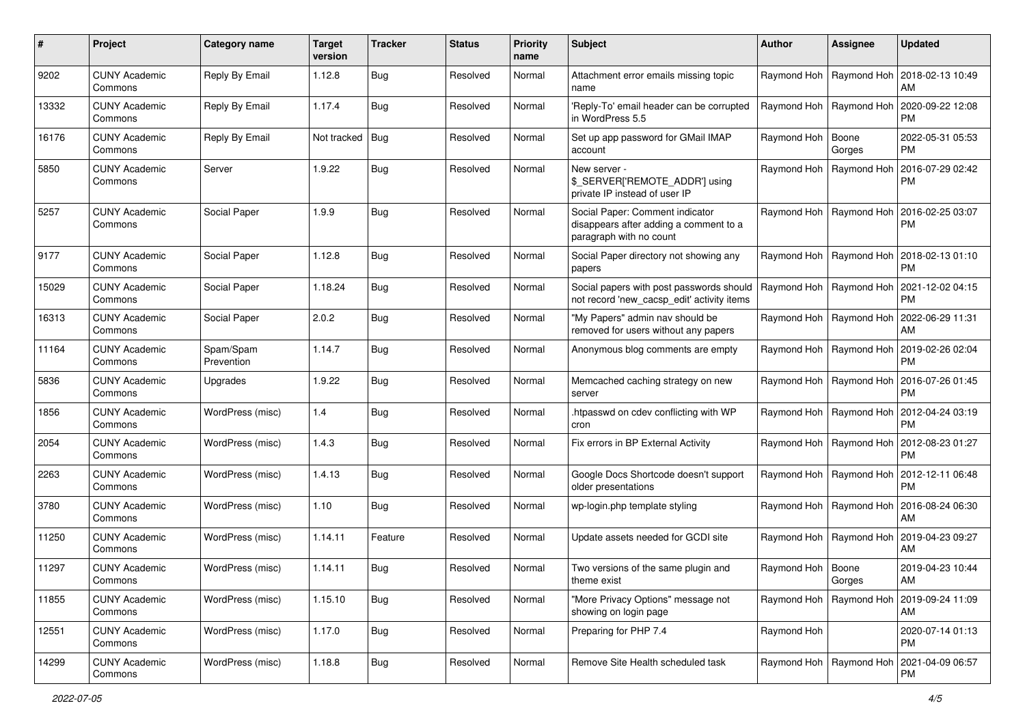| #     | Project                         | Category name           | <b>Target</b><br>version | <b>Tracker</b> | <b>Status</b> | <b>Priority</b><br>name | Subject                                                                                              | <b>Author</b>       | <b>Assignee</b>           | <b>Updated</b>                                     |
|-------|---------------------------------|-------------------------|--------------------------|----------------|---------------|-------------------------|------------------------------------------------------------------------------------------------------|---------------------|---------------------------|----------------------------------------------------|
| 9202  | <b>CUNY Academic</b><br>Commons | Reply By Email          | 1.12.8                   | <b>Bug</b>     | Resolved      | Normal                  | Attachment error emails missing topic<br>name                                                        |                     | Raymond Hoh   Raymond Hoh | 2018-02-13 10:49<br>AM                             |
| 13332 | <b>CUNY Academic</b><br>Commons | Reply By Email          | 1.17.4                   | Bug            | Resolved      | Normal                  | 'Reply-To' email header can be corrupted<br>in WordPress 5.5                                         |                     | Raymond Hoh   Raymond Hoh | 2020-09-22 12:08<br><b>PM</b>                      |
| 16176 | <b>CUNY Academic</b><br>Commons | Reply By Email          | Not tracked   Bug        |                | Resolved      | Normal                  | Set up app password for GMail IMAP<br>account                                                        | Raymond Hoh   Boone | Gorges                    | 2022-05-31 05:53<br><b>PM</b>                      |
| 5850  | <b>CUNY Academic</b><br>Commons | Server                  | 1.9.22                   | <b>Bug</b>     | Resolved      | Normal                  | New server -<br>\$ SERVER['REMOTE ADDR'] using<br>private IP instead of user IP                      |                     | Raymond Hoh   Raymond Hoh | 2016-07-29 02:42<br><b>PM</b>                      |
| 5257  | <b>CUNY Academic</b><br>Commons | Social Paper            | 1.9.9                    | Bug            | Resolved      | Normal                  | Social Paper: Comment indicator<br>disappears after adding a comment to a<br>paragraph with no count |                     | Raymond Hoh   Raymond Hoh | 2016-02-25 03:07<br><b>PM</b>                      |
| 9177  | <b>CUNY Academic</b><br>Commons | Social Paper            | 1.12.8                   | Bug            | Resolved      | Normal                  | Social Paper directory not showing any<br>papers                                                     |                     | Raymond Hoh   Raymond Hoh | 2018-02-13 01:10<br><b>PM</b>                      |
| 15029 | <b>CUNY Academic</b><br>Commons | Social Paper            | 1.18.24                  | <b>Bug</b>     | Resolved      | Normal                  | Social papers with post passwords should<br>not record 'new_cacsp_edit' activity items               |                     | Raymond Hoh   Raymond Hoh | 2021-12-02 04:15<br><b>PM</b>                      |
| 16313 | <b>CUNY Academic</b><br>Commons | Social Paper            | 2.0.2                    | <b>Bug</b>     | Resolved      | Normal                  | "My Papers" admin nav should be<br>removed for users without any papers                              |                     | Raymond Hoh   Raymond Hoh | 2022-06-29 11:31<br>AM                             |
| 11164 | <b>CUNY Academic</b><br>Commons | Spam/Spam<br>Prevention | 1.14.7                   | <b>Bug</b>     | Resolved      | Normal                  | Anonymous blog comments are empty                                                                    |                     | Raymond Hoh   Raymond Hoh | 2019-02-26 02:04<br><b>PM</b>                      |
| 5836  | <b>CUNY Academic</b><br>Commons | Upgrades                | 1.9.22                   | <b>Bug</b>     | Resolved      | Normal                  | Memcached caching strategy on new<br>server                                                          |                     | Raymond Hoh   Raymond Hoh | 2016-07-26 01:45<br><b>PM</b>                      |
| 1856  | <b>CUNY Academic</b><br>Commons | WordPress (misc)        | 1.4                      | <b>Bug</b>     | Resolved      | Normal                  | htpasswd on cdev conflicting with WP<br>cron                                                         |                     | Raymond Hoh   Raymond Hoh | 2012-04-24 03:19<br><b>PM</b>                      |
| 2054  | <b>CUNY Academic</b><br>Commons | WordPress (misc)        | 1.4.3                    | <b>Bug</b>     | Resolved      | Normal                  | Fix errors in BP External Activity                                                                   |                     | Raymond Hoh   Raymond Hoh | 2012-08-23 01:27<br><b>PM</b>                      |
| 2263  | <b>CUNY Academic</b><br>Commons | WordPress (misc)        | 1.4.13                   | <b>Bug</b>     | Resolved      | Normal                  | Google Docs Shortcode doesn't support<br>older presentations                                         |                     | Raymond Hoh   Raymond Hoh | 2012-12-11 06:48<br><b>PM</b>                      |
| 3780  | <b>CUNY Academic</b><br>Commons | WordPress (misc)        | 1.10                     | Bug            | Resolved      | Normal                  | wp-login.php template styling                                                                        |                     | Raymond Hoh   Raymond Hoh | 2016-08-24 06:30<br>AM                             |
| 11250 | <b>CUNY Academic</b><br>Commons | WordPress (misc)        | 1.14.11                  | Feature        | Resolved      | Normal                  | Update assets needed for GCDI site                                                                   |                     | Raymond Hoh   Raymond Hoh | 2019-04-23 09:27<br>AM                             |
| 11297 | <b>CUNY Academic</b><br>Commons | WordPress (misc)        | 1.14.11                  | <b>Bug</b>     | Resolved      | Normal                  | Two versions of the same plugin and<br>theme exist                                                   | Raymond Hoh   Boone | Gorges                    | 2019-04-23 10:44<br>AM                             |
| 11855 | <b>CUNY Academic</b><br>Commons | WordPress (misc)        | 1.15.10                  | Bug            | Resolved      | Normal                  | "More Privacy Options" message not<br>showing on login page                                          |                     | Raymond Hoh   Raymond Hoh | 2019-09-24 11:09<br>AM                             |
| 12551 | <b>CUNY Academic</b><br>Commons | WordPress (misc)        | 1.17.0                   | Bug            | Resolved      | Normal                  | Preparing for PHP 7.4                                                                                | Raymond Hoh         |                           | 2020-07-14 01:13<br><b>PM</b>                      |
| 14299 | <b>CUNY Academic</b><br>Commons | WordPress (misc)        | 1.18.8                   | Bug            | Resolved      | Normal                  | Remove Site Health scheduled task                                                                    |                     |                           | Raymond Hoh   Raymond Hoh   2021-04-09 06:57<br>PM |